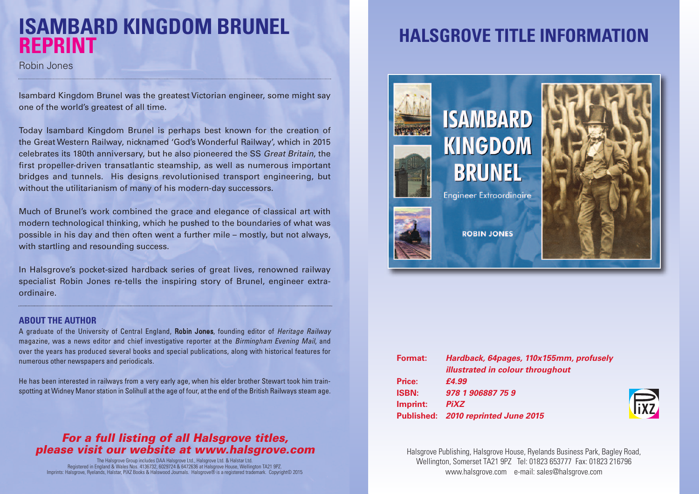# **ISAMBARD KINGDOM BRUNEL REPRINT**

Robin Jones

Isambard Kingdom Brunel was the greatest Victorian engineer, some might say one of the world's greatest of all time.

Today Isambard Kingdom Brunel is perhaps best known for the creation of the Great Western Railway, nicknamed 'God's Wonderful Railway', which in 2015 celebrates its 180th anniversary, but he also pioneered the SS *Great Britain*, the first propeller-driven transatlantic steamship, as well as numerous important bridges and tunnels. His designs revolutionised transport engineering, but without the utilitarianism of many of his modern-day successors.

Much of Brunel's work combined the grace and elegance of classical art with modern technological thinking, which he pushed to the boundaries of what was possible in his day and then often went a further mile – mostly, but not always, with startling and resounding success.

In Halsgrove's pocket-sized hardback series of great lives, renowned railway specialist Robin Jones re-tells the inspiring story of Brunel, engineer extraordinaire.

#### **ABOUT THE AUTHOR**

A graduate of the University of Central England, Robin Jones, founding editor of *Heritage Railway* magazine, was a news editor and chief investigative reporter at the *Birmingham Evening Mail*, and over the years has produced several books and special publications, along with historical features for numerous other newspapers and periodicals.

He has been interested in railways from a very early age, when his elder brother Stewart took him trainspotting at Widney Manor station in Solihull at the age of four, at the end of the British Railways steam age.

### *For a full listing of all Halsgrove titles, please visit our website at www.halsgrove.com*

The Halsgrove Group includes DAA Halsgrove Ltd., Halsgrove Ltd. & Halstar Ltd. Registered in England & Wales Nos. 4136732, 6029724 & 6472636 at Halsgrove House, Wellington TA21 9PZ. Imprints: Halsgrove, Ryelands, Halstar, PiXZ Books & Halswood Journals. Halsgrove® is a registered trademark. Copyright© 2015

# **HALSGROVE TITLE INFORMATION**



| <b>Format:</b> | Hardback, 64pages, 110x155mm, profusely |
|----------------|-----------------------------------------|
|                | <i>illustrated in colour throughout</i> |
| Price:         | £4.99                                   |
| <b>ISBN:</b>   | 978 1 906887 75 9                       |
| Imprint:       | <b>PiXZ</b>                             |
|                | Published: 2010 reprinted June 2015     |



Halsgrove Publishing, Halsgrove House, Ryelands Business Park, Bagley Road, Wellington, Somerset TA21 9PZ Tel: 01823 653777 Fax: 01823 216796 www.halsgrove.com e-mail: sales@halsgrove.com